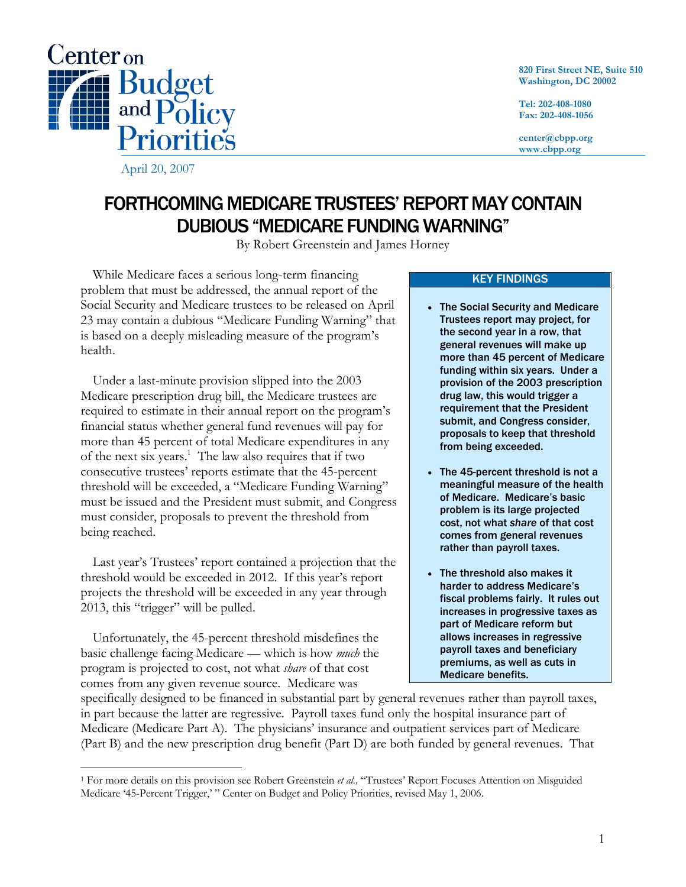

**820 First Street NE, Suite 510 Washington, DC 20002** 

**Tel: 202-408-1080 Fax: 202-408-1056** 

**center@cbpp.org www.cbpp.org** 

FORTHCOMING MEDICARE TRUSTEES' REPORT MAY CONTAIN DUBIOUS "MEDICARE FUNDING WARNING"

By Robert Greenstein and James Horney

 While Medicare faces a serious long-term financing problem that must be addressed, the annual report of the Social Security and Medicare trustees to be released on April 23 may contain a dubious "Medicare Funding Warning" that is based on a deeply misleading measure of the program's health.

 Under a last-minute provision slipped into the 2003 Medicare prescription drug bill, the Medicare trustees are required to estimate in their annual report on the program's financial status whether general fund revenues will pay for more than 45 percent of total Medicare expenditures in any of the next six years.<sup>1</sup> The law also requires that if two consecutive trustees' reports estimate that the 45-percent threshold will be exceeded, a "Medicare Funding Warning" must be issued and the President must submit, and Congress must consider, proposals to prevent the threshold from being reached.

 Last year's Trustees' report contained a projection that the threshold would be exceeded in 2012. If this year's report projects the threshold will be exceeded in any year through 2013, this "trigger" will be pulled.

 Unfortunately, the 45-percent threshold misdefines the basic challenge facing Medicare — which is how *much* the program is projected to cost, not what *share* of that cost comes from any given revenue source. Medicare was

-

## KEY FINDINGS

- The Social Security and Medicare Trustees report may project, for the second year in a row, that general revenues will make up more than 45 percent of Medicare funding within six years. Under a provision of the 2003 prescription drug law, this would trigger a requirement that the President submit, and Congress consider, proposals to keep that threshold from being exceeded.
- The 45-percent threshold is not a meaningful measure of the health of Medicare. Medicare's basic problem is its large projected cost, not what *share* of that cost comes from general revenues rather than payroll taxes.
- The threshold also makes it harder to address Medicare's fiscal problems fairly. It rules out increases in progressive taxes as part of Medicare reform but allows increases in regressive payroll taxes and beneficiary premiums, as well as cuts in Medicare benefits.

specifically designed to be financed in substantial part by general revenues rather than payroll taxes, in part because the latter are regressive. Payroll taxes fund only the hospital insurance part of Medicare (Medicare Part A). The physicians' insurance and outpatient services part of Medicare (Part B) and the new prescription drug benefit (Part D) are both funded by general revenues. That

<sup>1</sup> For more details on this provision see Robert Greenstein *et al.,* "Trustees' Report Focuses Attention on Misguided Medicare '45-Percent Trigger,' " Center on Budget and Policy Priorities, revised May 1, 2006.